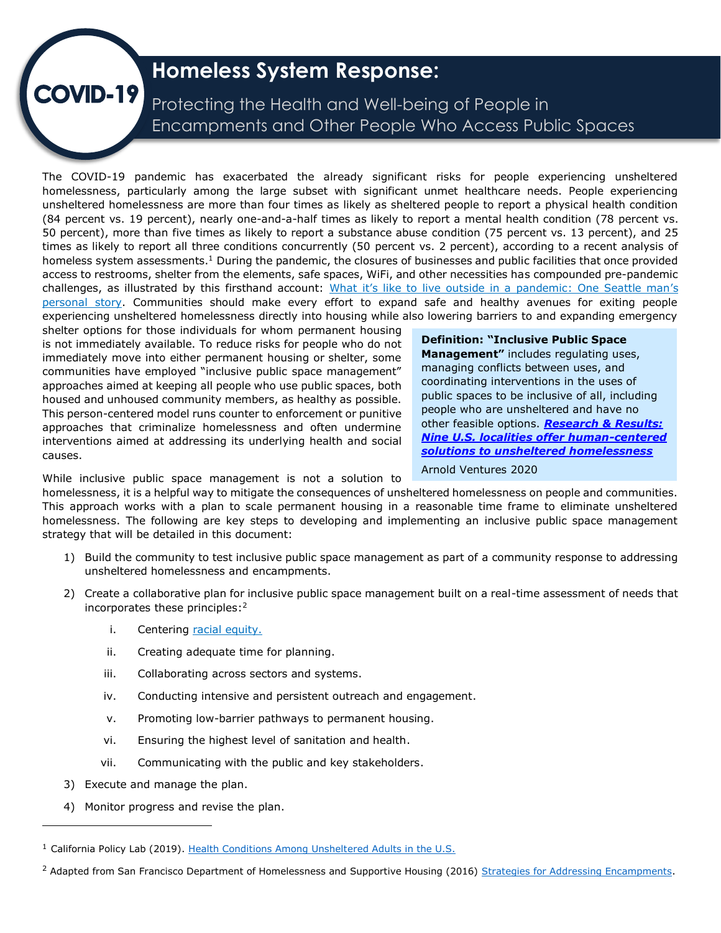# **Homeless System Response:**

Protecting the Health and Well-being of People in Encampments and Other People Who Access Public Spaces

The COVID-19 pandemic has exacerbated the already significant risks for people experiencing unsheltered homelessness, particularly among the large subset with significant unmet healthcare needs. People experiencing unsheltered homelessness are more than four times as likely as sheltered people to report a physical health condition (84 percent vs. 19 percent), nearly one-and-a-half times as likely to report a mental health condition (78 percent vs. 50 percent), more than five times as likely to report a substance abuse condition (75 percent vs. 13 percent), and 25 times as likely to report all three conditions concurrently (50 percent vs. 2 percent), according to a recent analysis of homeless system assessments.<sup>1</sup> During the pandemic, the closures of businesses and public facilities that once provided access to restrooms, shelter from the elements, safe spaces, WiFi, and other necessities has compounded pre-pandemic challenges, as illustrated by this firsthand account: What it's like to live out[side in a pandemic: One Seattle man](https://www.seattletimes.com/seattle-news/homeless/living-outside-in-a-pandemic-the-story-of-joe-bernstein/?utm_source=marketingcloud&utm_medium=email&utm_campaign=Morning+Brief+12-14-2020_12_14_2020&utm_term=Active%20subscriber)'s [personal story.](https://www.seattletimes.com/seattle-news/homeless/living-outside-in-a-pandemic-the-story-of-joe-bernstein/?utm_source=marketingcloud&utm_medium=email&utm_campaign=Morning+Brief+12-14-2020_12_14_2020&utm_term=Active%20subscriber) Communities should make every effort to expand safe and healthy avenues for exiting people experiencing unsheltered homelessness directly into housing while also lowering barriers to and expanding emergency

shelter options for those individuals for whom permanent housing is not immediately available. To reduce risks for people who do not immediately move into either permanent housing or shelter, some communities have employed "inclusive public space management" approaches aimed at keeping all people who use public spaces, both housed and unhoused community members, as healthy as possible. This person-centered model runs counter to enforcement or punitive approaches that criminalize homelessness and often undermine interventions aimed at addressing its underlying health and social causes.

**VID-19** 

**Definition: "Inclusive Public Space Management"** includes regulating uses, managing conflicts between uses, and coordinating interventions in the uses of public spaces to be inclusive of all, including people who are unsheltered and have no other feasible options. *[Research & Results:](https://www.arnoldventures.org/stories/research-results-nine-u-s-localities-offer-human-centered-approaches-to-unsheltered-homelessness)  [Nine U.S. localities offer human-centered](https://www.arnoldventures.org/stories/research-results-nine-u-s-localities-offer-human-centered-approaches-to-unsheltered-homelessness)  [solutions to unsheltered homelessness](https://www.arnoldventures.org/stories/research-results-nine-u-s-localities-offer-human-centered-approaches-to-unsheltered-homelessness)*  Arnold Ventures 2020

While inclusive public space management is not a solution to

homelessness, it is a helpful way to mitigate the consequences of unsheltered homelessness on people and communities. This approach works with a plan to scale permanent housing in a reasonable time frame to eliminate unsheltered homelessness. The following are key steps to developing and implementing an inclusive public space management strategy that will be detailed in this document:

- 1) Build the community to test inclusive public space management as part of a community response to addressing unsheltered homelessness and encampments.
- 2) Create a collaborative plan for inclusive public space management built on a real-time assessment of needs that incorporates these principles:<sup>2</sup>
	- i. Centering [racial equity.](https://files.hudexchange.info/resources/documents/COVID-19-Homeless-System-Response-Staff-Orientation-to-Racial-Equity.pdf)
	- ii. Creating adequate time for planning.
	- iii. Collaborating across sectors and systems.
	- iv. Conducting intensive and persistent outreach and engagement.
	- v. Promoting low-barrier pathways to permanent housing.
	- vi. Ensuring the highest level of sanitation and health.
	- vii. Communicating with the public and key stakeholders.
- 3) Execute and manage the plan.
- 4) Monitor progress and revise the plan.

<sup>&</sup>lt;sup>1</sup> California Policy Lab (2019). [Health Conditions Among Unsheltered Adults in the U.S.](https://www.capolicylab.org/wp-content/uploads/2019/10/Health-Conditions-Among-Unsheltered-Adults-in-the-U.S.pdf)

<sup>&</sup>lt;sup>2</sup> Adapted from San Francisco Department of Homelessness and Supportive Housing (2016) [Strategies for Addressing Encampments.](http://endhomelessness.org/wp-content/uploads/2016/08/2016-national-slides-strategies-for-encampments.pdf)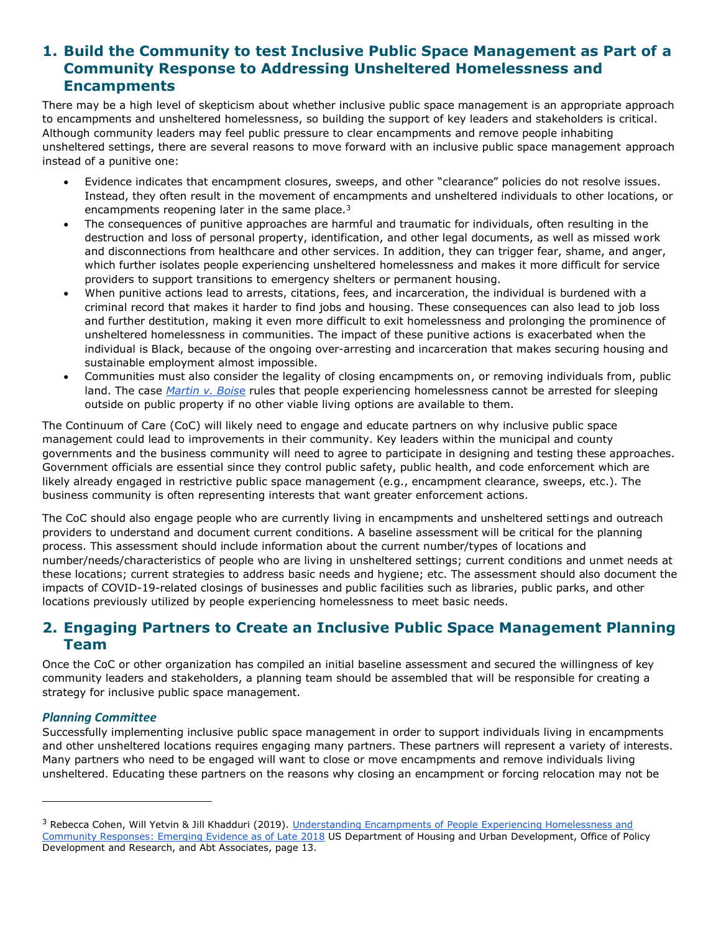# **1. Build the Community to test Inclusive Public Space Management as Part of a Community Response to Addressing Unsheltered Homelessness and Encampments**

There may be a high level of skepticism about whether inclusive public space management is an appropriate approach to encampments and unsheltered homelessness, so building the support of key leaders and stakeholders is critical. Although community leaders may feel public pressure to clear encampments and remove people inhabiting unsheltered settings, there are several reasons to move forward with an inclusive public space management approach instead of a punitive one:

- Evidence indicates that encampment closures, sweeps, and other "clearance" policies do not resolve issues. Instead, they often result in the movement of encampments and unsheltered individuals to other locations, or encampments reopening later in the same place.<sup>3</sup>
- The consequences of punitive approaches are harmful and traumatic for individuals, often resulting in the destruction and loss of personal property, identification, and other legal documents, as well as missed work and disconnections from healthcare and other services. In addition, they can trigger fear, shame, and anger, which further isolates people experiencing unsheltered homelessness and makes it more difficult for service providers to support transitions to emergency shelters or permanent housing.
- When punitive actions lead to arrests, citations, fees, and incarceration, the individual is burdened with a criminal record that makes it harder to find jobs and housing. These consequences can also lead to job loss and further destitution, making it even more difficult to exit homelessness and prolonging the prominence of unsheltered homelessness in communities. The impact of these punitive actions is exacerbated when the individual is Black, because of the ongoing over-arresting and incarceration that makes securing housing and sustainable employment almost impossible.
- Communities must also consider the legality of closing encampments on, or removing individuals from, public land. The case *[Martin v. Bois](https://nlchp.org/supreme-court-martin-v-boise/)*[e](https://nlchp.org/supreme-court-martin-v-boise/) rules that people experiencing homelessness cannot be arrested for sleeping outside on public property if no other viable living options are available to them.

The Continuum of Care (CoC) will likely need to engage and educate partners on why inclusive public space management could lead to improvements in their community. Key leaders within the municipal and county governments and the business community will need to agree to participate in designing and testing these approaches. Government officials are essential since they control public safety, public health, and code enforcement which are likely already engaged in restrictive public space management (e.g., encampment clearance, sweeps, etc.). The business community is often representing interests that want greater enforcement actions.

The CoC should also engage people who are currently living in encampments and unsheltered settings and outreach providers to understand and document current conditions. A baseline assessment will be critical for the planning process. This assessment should include information about the current number/types of locations and number/needs/characteristics of people who are living in unsheltered settings; current conditions and unmet needs at these locations; current strategies to address basic needs and hygiene; etc. The assessment should also document the impacts of COVID-19-related closings of businesses and public facilities such as libraries, public parks, and other locations previously utilized by people experiencing homelessness to meet basic needs.

# **2. Engaging Partners to Create an Inclusive Public Space Management Planning Team**

Once the CoC or other organization has compiled an initial baseline assessment and secured the willingness of key community leaders and stakeholders, a planning team should be assembled that will be responsible for creating a strategy for inclusive public space management.

#### *Planning Committee*

Successfully implementing inclusive public space management in order to support individuals living in encampments and other unsheltered locations requires engaging many partners. These partners will represent a variety of interests. Many partners who need to be engaged will want to close or move encampments and remove individuals living unsheltered. Educating these partners on the reasons why closing an encampment or forcing relocation may not be

<sup>&</sup>lt;sup>3</sup> Rebecca Cohen, Will Yetvin & Jill Khadduri (2019). Understanding Encampments of People Experiencing Homelessness and [Community Responses: Emerging Evidence as of Late 2018](https://www.huduser.gov/portal/publications/Understanding-Encampments.html) US Department of Housing and Urban Development, Office of Policy Development and Research, and Abt Associates, page 13.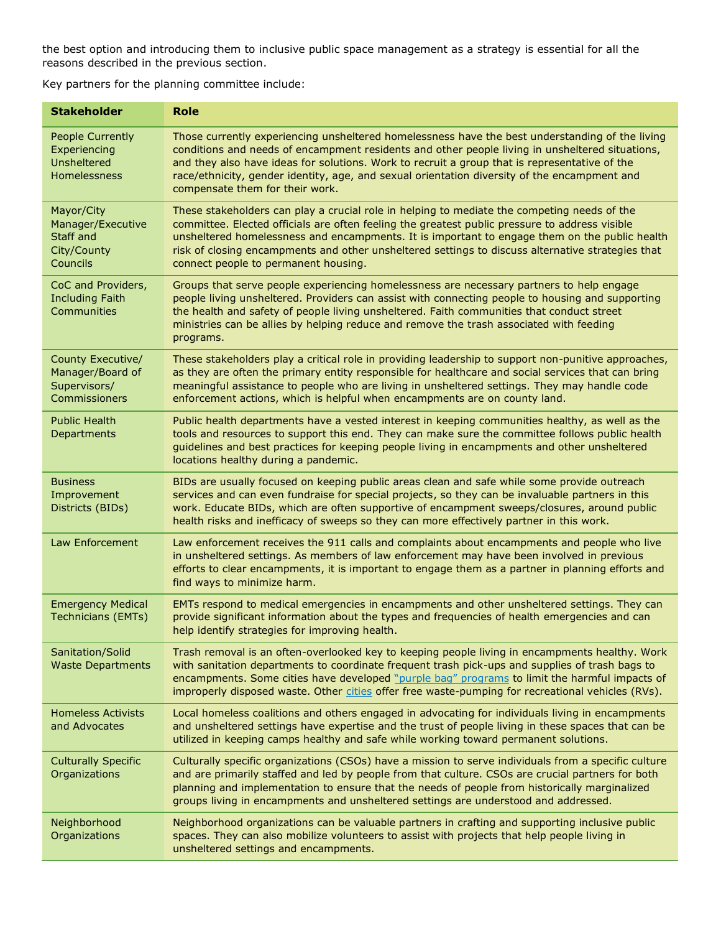the best option and introducing them to inclusive public space management as a strategy is essential for all the reasons described in the previous section.

Key partners for the planning committee include:

| <b>Stakeholder</b>                                                            | <b>Role</b>                                                                                                                                                                                                                                                                                                                                                                                                                                 |
|-------------------------------------------------------------------------------|---------------------------------------------------------------------------------------------------------------------------------------------------------------------------------------------------------------------------------------------------------------------------------------------------------------------------------------------------------------------------------------------------------------------------------------------|
| <b>People Currently</b><br>Experiencing<br><b>Unsheltered</b><br>Homelessness | Those currently experiencing unsheltered homelessness have the best understanding of the living<br>conditions and needs of encampment residents and other people living in unsheltered situations,<br>and they also have ideas for solutions. Work to recruit a group that is representative of the<br>race/ethnicity, gender identity, age, and sexual orientation diversity of the encampment and<br>compensate them for their work.      |
| Mayor/City<br>Manager/Executive<br>Staff and<br>City/County<br>Councils       | These stakeholders can play a crucial role in helping to mediate the competing needs of the<br>committee. Elected officials are often feeling the greatest public pressure to address visible<br>unsheltered homelessness and encampments. It is important to engage them on the public health<br>risk of closing encampments and other unsheltered settings to discuss alternative strategies that<br>connect people to permanent housing. |
| CoC and Providers,<br><b>Including Faith</b><br>Communities                   | Groups that serve people experiencing homelessness are necessary partners to help engage<br>people living unsheltered. Providers can assist with connecting people to housing and supporting<br>the health and safety of people living unsheltered. Faith communities that conduct street<br>ministries can be allies by helping reduce and remove the trash associated with feeding<br>programs.                                           |
| County Executive/<br>Manager/Board of<br>Supervisors/<br>Commissioners        | These stakeholders play a critical role in providing leadership to support non-punitive approaches,<br>as they are often the primary entity responsible for healthcare and social services that can bring<br>meaningful assistance to people who are living in unsheltered settings. They may handle code<br>enforcement actions, which is helpful when encampments are on county land.                                                     |
| <b>Public Health</b><br>Departments                                           | Public health departments have a vested interest in keeping communities healthy, as well as the<br>tools and resources to support this end. They can make sure the committee follows public health<br>guidelines and best practices for keeping people living in encampments and other unsheltered<br>locations healthy during a pandemic.                                                                                                  |
| <b>Business</b><br>Improvement<br>Districts (BIDs)                            | BIDs are usually focused on keeping public areas clean and safe while some provide outreach<br>services and can even fundraise for special projects, so they can be invaluable partners in this<br>work. Educate BIDs, which are often supportive of encampment sweeps/closures, around public<br>health risks and inefficacy of sweeps so they can more effectively partner in this work.                                                  |
| Law Enforcement                                                               | Law enforcement receives the 911 calls and complaints about encampments and people who live<br>in unsheltered settings. As members of law enforcement may have been involved in previous<br>efforts to clear encampments, it is important to engage them as a partner in planning efforts and<br>find ways to minimize harm.                                                                                                                |
| <b>Emergency Medical</b><br><b>Technicians (EMTs)</b>                         | EMTs respond to medical emergencies in encampments and other unsheltered settings. They can<br>provide significant information about the types and frequencies of health emergencies and can<br>help identify strategies for improving health.                                                                                                                                                                                              |
| Sanitation/Solid<br><b>Waste Departments</b>                                  | Trash removal is an often-overlooked key to keeping people living in encampments healthy. Work<br>with sanitation departments to coordinate frequent trash pick-ups and supplies of trash bags to<br>encampments. Some cities have developed "purple bag" programs to limit the harmful impacts of<br>improperly disposed waste. Other cities offer free waste-pumping for recreational vehicles (RVs).                                     |
| <b>Homeless Activists</b><br>and Advocates                                    | Local homeless coalitions and others engaged in advocating for individuals living in encampments<br>and unsheltered settings have expertise and the trust of people living in these spaces that can be<br>utilized in keeping camps healthy and safe while working toward permanent solutions.                                                                                                                                              |
| <b>Culturally Specific</b><br>Organizations                                   | Culturally specific organizations (CSOs) have a mission to serve individuals from a specific culture<br>and are primarily staffed and led by people from that culture. CSOs are crucial partners for both<br>planning and implementation to ensure that the needs of people from historically marginalized<br>groups living in encampments and unsheltered settings are understood and addressed.                                           |
| Neighborhood<br>Organizations                                                 | Neighborhood organizations can be valuable partners in crafting and supporting inclusive public<br>spaces. They can also mobilize volunteers to assist with projects that help people living in<br>unsheltered settings and encampments.                                                                                                                                                                                                    |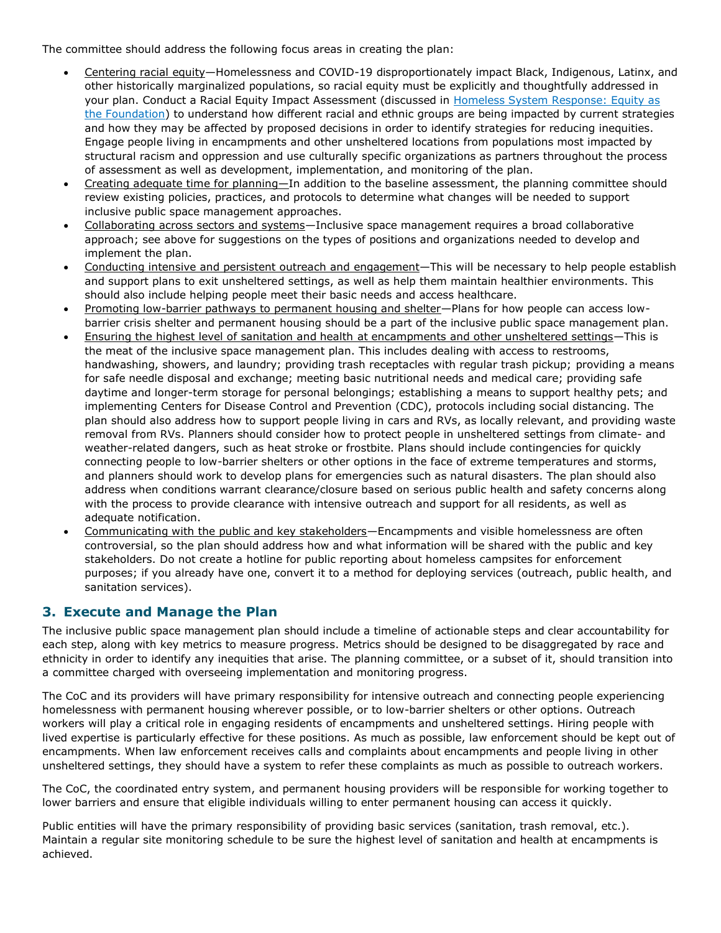The committee should address the following focus areas in creating the plan:

- Centering racial equity—Homelessness and COVID-19 disproportionately impact Black, Indigenous, Latinx, and other historically marginalized populations, so racial equity must be explicitly and thoughtfully addressed in your plan. Conduct a Racial Equity Impact Assessment (discussed in [Homeless System Response: Equity as](https://files.hudexchange.info/resources/documents/COVID-19-Homeless-System-Response-Rehousing-Activation-and-Racial-Equity-Part-1-Equity-as-the-Foundation.pdf)  [the Foundation\)](https://files.hudexchange.info/resources/documents/COVID-19-Homeless-System-Response-Rehousing-Activation-and-Racial-Equity-Part-1-Equity-as-the-Foundation.pdf) to understand how different racial and ethnic groups are being impacted by current strategies and how they may be affected by proposed decisions in order to identify strategies for reducing inequities. Engage people living in encampments and other unsheltered locations from populations most impacted by structural racism and oppression and use culturally specific organizations as partners throughout the process of assessment as well as development, implementation, and monitoring of the plan.
- Creating adequate time for planning—In addition to the baseline assessment, the planning committee should review existing policies, practices, and protocols to determine what changes will be needed to support inclusive public space management approaches.
- Collaborating across sectors and systems—Inclusive space management requires a broad collaborative approach; see above for suggestions on the types of positions and organizations needed to develop and implement the plan.
- Conducting intensive and persistent outreach and engagement—This will be necessary to help people establish and support plans to exit unsheltered settings, as well as help them maintain healthier environments. This should also include helping people meet their basic needs and access healthcare.
- Promoting low-barrier pathways to permanent housing and shelter—Plans for how people can access lowbarrier crisis shelter and permanent housing should be a part of the inclusive public space management plan.
- Ensuring the highest level of sanitation and health at encampments and other unsheltered settings—This is the meat of the inclusive space management plan. This includes dealing with access to restrooms, handwashing, showers, and laundry; providing trash receptacles with regular trash pickup; providing a means for safe needle disposal and exchange; meeting basic nutritional needs and medical care; providing safe daytime and longer-term storage for personal belongings; establishing a means to support healthy pets; and implementing Centers for Disease Control and Prevention (CDC), protocols including social distancing. The plan should also address how to support people living in cars and RVs, as locally relevant, and providing waste removal from RVs. Planners should consider how to protect people in unsheltered settings from climate- and weather-related dangers, such as heat stroke or frostbite. Plans should include contingencies for quickly connecting people to low-barrier shelters or other options in the face of extreme temperatures and storms, and planners should work to develop plans for emergencies such as natural disasters. The plan should also address when conditions warrant clearance/closure based on serious public health and safety concerns along with the process to provide clearance with intensive outreach and support for all residents, as well as adequate notification.
- Communicating with the public and key stakeholders—Encampments and visible homelessness are often controversial, so the plan should address how and what information will be shared with the public and key stakeholders. Do not create a hotline for public reporting about homeless campsites for enforcement purposes; if you already have one, convert it to a method for deploying services (outreach, public health, and sanitation services).

#### **3. Execute and Manage the Plan**

The inclusive public space management plan should include a timeline of actionable steps and clear accountability for each step, along with key metrics to measure progress. Metrics should be designed to be disaggregated by race and ethnicity in order to identify any inequities that arise. The planning committee, or a subset of it, should transition into a committee charged with overseeing implementation and monitoring progress.

The CoC and its providers will have primary responsibility for intensive outreach and connecting people experiencing homelessness with permanent housing wherever possible, or to low-barrier shelters or other options. Outreach workers will play a critical role in engaging residents of encampments and unsheltered settings. Hiring people with lived expertise is particularly effective for these positions. As much as possible, law enforcement should be kept out of encampments. When law enforcement receives calls and complaints about encampments and people living in other unsheltered settings, they should have a system to refer these complaints as much as possible to outreach workers.

The CoC, the coordinated entry system, and permanent housing providers will be responsible for working together to lower barriers and ensure that eligible individuals willing to enter permanent housing can access it quickly.

Public entities will have the primary responsibility of providing basic services (sanitation, trash removal, etc.). Maintain a regular site monitoring schedule to be sure the highest level of sanitation and health at encampments is achieved.